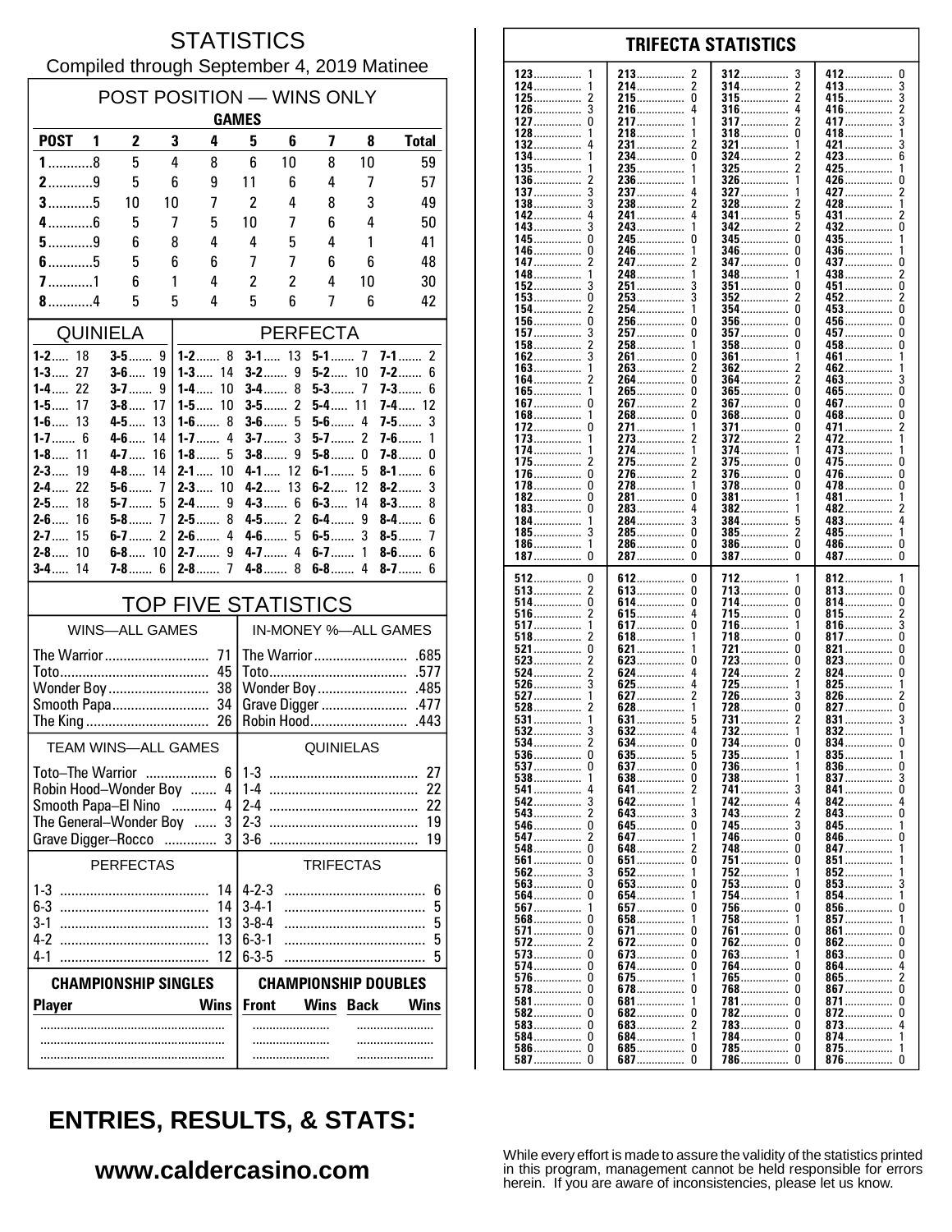### **STATISTICS** Compiled through September 4, 2019 Matinee

| POST POSITION - WINS ONLY<br><b>GAMES</b>                  |                                                  |                |                            |                                             |                      |                       |         |                            |  |
|------------------------------------------------------------|--------------------------------------------------|----------------|----------------------------|---------------------------------------------|----------------------|-----------------------|---------|----------------------------|--|
| <b>POST</b>                                                | $\mathbf{2}$<br>1                                | 3              | 4                          | 5                                           | 6                    | 7                     | 8       | <b>Total</b>               |  |
| $1$ 8                                                      | 5                                                | 4              | 8                          | 6                                           | 10                   | 8                     | 10      | 59                         |  |
| $2$ 9                                                      | 5                                                | 6              | 9                          | 11                                          | 6                    | 4                     | 7       | 57                         |  |
| $3$ 5                                                      | 10                                               | 10             | 7                          | $\overline{2}$                              | 4                    | 8                     | 3       | 49                         |  |
| $4$ 6                                                      | 5                                                | 7              | 5                          | 10                                          | 7                    | 6                     | 4       | 50                         |  |
| $5$ 9                                                      | 6                                                | 8              | 4                          | 4                                           | 5                    | 4                     | 1       | 41                         |  |
| $6$ 5                                                      | 5                                                | 6              | 6                          | 7                                           | 7                    | 6                     | 6       | 48                         |  |
| $7$ 1                                                      | 6                                                | 1              | 4                          | $\overline{c}$                              | $\overline{c}$       | 4                     | 10      | 30                         |  |
| $8$ 4                                                      | 5                                                | 5              | 4                          | 5                                           | 6                    | 7                     | 6       | 42                         |  |
| <b>QUINIELA</b>                                            |                                                  |                |                            |                                             |                      | <b>PERFECTA</b>       |         |                            |  |
| $1 - 2$ 18<br>$1 - 3$<br>27                                | $3-5$                                            | 9              | $1 - 2$ 8<br>$1 - 3$       | $3-2$                                       | $3 - 1$ 13<br>9      | $5-1$ 7<br>$5 - 2$ 10 |         | $7 - 1$ 2                  |  |
| $1 - 4$ 22                                                 | $3 - 6$ 19<br>$3 - 7$                            | 9              | 14<br>10<br>1-4……          | $3-4$                                       | 8                    | $5 - 3$               | -7      | <b>7-2</b> 6<br>7-3……      |  |
| $1 - 5$ 17                                                 | $3 - 8$ 17                                       |                | 10<br>1-5……                | $3-5$                                       | $\overline{2}$       | $5-4$ 11              |         | $7 - 4$ 12                 |  |
| $1-6$<br>13                                                | $4 - 5 $                                         | 13             | $1-6$<br>8                 | $3-6$                                       | 5<br>3               | $5-6$                 | 4       | $7-5$<br>3                 |  |
| $1 - 7$ 6<br>$1-8$<br>11                                   | $4 - 6$<br>$4 - 7$                               | 14<br>16       | $1 - 7$<br>4<br>$1 - 8$ 5  | $3 - 7$<br>$3-8$                            | 9                    | $5-7$<br>$5-8$        | 2<br>0  | $7 - 6$<br>1<br>7-8……<br>0 |  |
| $2 - 3$<br>19                                              | $4-8$                                            | 14             | $2 - 1$ 10                 |                                             | 4-1 $12$             | $6 - 1$ 5             |         | $8 - 1$<br>6               |  |
| $2 - 4$<br>22                                              | $5-6$                                            | 7              | $2 - 3$<br>10              |                                             | $4 - 2$ 13           | $6 - 2$ 12            |         | 3<br>$8-2$                 |  |
| $2 - 5$<br>18<br>$2 - 6$<br>16                             | $5-7$<br>5-8……                                   | 5<br>7         | $2 - 4$<br>9<br>$2-5$<br>8 | $4 - 3$                                     | 6<br>$4 - 5$ 2       | $6-3$<br>$6-4$        | 14<br>9 | $8 - 3$<br>8<br>$8-4$<br>6 |  |
| 15<br>$2 - 7$                                              | $6-7$                                            | $\overline{2}$ | 4<br>$2-6$                 | $4-6$                                       | 5                    | $6-5$                 | 3       | $8-5$<br>7                 |  |
| $2 - 8$<br>10                                              | $6 - 8$ 10                                       |                | 9<br>$2 - 7$               | 4-7                                         | 4                    | $6-7$                 | 1       | $8-6$<br>6                 |  |
| $3-4$<br>14                                                | 7-8…….                                           | 6              | $2-8$<br>7                 | 4-8                                         | 8                    | $6-8$                 | 4       | $8 - 7$ 6                  |  |
|                                                            |                                                  |                | <b>TOP FIVE STATISTICS</b> |                                             |                      |                       |         |                            |  |
|                                                            | <b>WINS-ALL GAMES</b>                            |                |                            |                                             | IN-MONEY %-ALL GAMES |                       |         |                            |  |
| The Warrior<br>71                                          |                                                  |                |                            |                                             |                      |                       |         |                            |  |
|                                                            |                                                  |                | 45<br>38                   | .577<br>Wonder Boy<br>.485                  |                      |                       |         |                            |  |
| Wonder Boy                                                 |                                                  |                | Grave Digger<br>.477       |                                             |                      |                       |         |                            |  |
| Robin Hood                                                 |                                                  |                |                            |                                             |                      | .443                  |         |                            |  |
| <b>TEAM WINS-ALL GAMES</b><br>QUINIELAS                    |                                                  |                |                            |                                             |                      |                       |         |                            |  |
| Toto–The Warrior                                           |                                                  |                | 6                          | $1 - 3$<br>27                               |                      |                       |         |                            |  |
|                                                            | Robin Hood-Wonder Boy                            |                | 4                          | $1-4$<br>22                                 |                      |                       |         |                            |  |
|                                                            | Smooth Papa-El Nino<br>The General-Wonder Boy  3 | .              | 4                          | $2-4$<br>22<br>$2 - 3$<br>19                |                      |                       |         |                            |  |
|                                                            | Grave Digger-Rocco                               |                | 3                          | $3-6$                                       |                      |                       |         | 19                         |  |
| <b>PERFECTAS</b><br><b>TRIFECTAS</b>                       |                                                  |                |                            |                                             |                      |                       |         |                            |  |
| $1 - 3$                                                    |                                                  |                | 14                         | $4 - 2 - 3$                                 |                      |                       |         | 6                          |  |
| $6-3$                                                      |                                                  |                | 14                         | $3 - 4 - 1$                                 |                      |                       |         | 5                          |  |
| 3-1<br>4-2                                                 |                                                  |                | 13<br>13                   | $3 - 8 - 4$<br>$6 - 3 - 1$                  |                      |                       |         | 5<br>5                     |  |
| 4-1                                                        |                                                  |                | 12                         | $6 - 3 - 5$                                 |                      |                       |         | 5                          |  |
| <b>CHAMPIONSHIP DOUBLES</b><br><b>CHAMPIONSHIP SINGLES</b> |                                                  |                |                            |                                             |                      |                       |         |                            |  |
| <b>Player</b><br>Wins                                      |                                                  |                |                            | <b>Front</b><br>Wins<br><b>Back</b><br>Wins |                      |                       |         |                            |  |
|                                                            |                                                  |                |                            |                                             |                      |                       |         |                            |  |
|                                                            |                                                  |                |                            |                                             |                      |                       |         |                            |  |
|                                                            |                                                  |                |                            |                                             |                      |                       |         |                            |  |

#### 123 213 412  $\mathbf{0}$ 2 312 3 124 214................  $\overline{2}$ 314  $\overline{2}$ 413 3 . . . . . . . . . . . . . . . . . . . . . . . . . . . . .  $\boldsymbol{2}$ 215................  $\pmb{0}$  $\overline{\mathbf{c}}$ 3 125 315 415................ . . . . . . . . . . . . . . . . . . . . . . . . . . . . . 126 3 216 4 316 4 416  $\overline{2}$ . . . . . . . . . . . . . . . .............. . . . . . . . . . . . . . . . . . . . . . . . . . . . . . . . 127  $\Omega$ 217  $\mathbf{1}$ 317 2 417 3 . . . . . . . . . . . . . . . . . . . . . . . . . . . . . . . . . . . . . . 128 218 318  $\Omega$ 418  $\overline{1}$ 132 231................ 2 321 ................  $421$ 3 1 134  $\Omega$  $6\overline{6}$  $234$ ................ 324 423 135 235. 325 425 136 236 326 426 0 . . . . . . . . . . . . . . . . . . . . . . . . . . . . . . . . . . . . . . . . . . . . . 137  $\mathbf{3}$ 237 327 427  $\overline{\phantom{a}}$ 4 138 3 238  $\mathcal{P}$ 328 428  $\mathbf{1}$ . . . . . . . . . . . 142 241................  $\overline{4}$ 5 341  $\overline{2}$ 431  $143.$  $342$  $\bar{2}$  $432$ ....... ō  $\mathbf{3}$  $\mathbf{1}$ . . . . . . . . . . . . . . . . . . . . . . . . . .  $\mathbf{0}$ 245  $\mathbf 0$ 345  $\mathbf{0}$ 435. 145 -1 346 0 436 146 246 . . . . . . . . . . . . . . . . . . . . . . . . . . . . . . . . . . . . . . . . . 147  $\overline{2}$ 247 347  $\Omega$ 437  $\Omega$ . . . . . . . . . . . . . . . . . . . . . . . . . . . . . . . . . . . . . . . . . . 148 248 348 438  $\boldsymbol{2}$ . . . . . . . . . . . . . . .............. . . . . . . . . . . . . . . . . 152 3 251 3 351 451 0 n . . . . . . . . . . . . . . . . . . . . . . . . . 153  $\Omega$ 253 3 352 2 452  $\mathfrak{p}$  $\overline{2}$ õ 154 254 354  $\Omega$  $453...$ 1 156.  $\mathbf 0$  $\mathbf 0$  $\mathbf 0$ 256 356  $\Omega$  $456...$ ŏ 157. 257.  $\Omega$ 357  $457...$ . . . . . . . . . . . . . . . . . . . . . . . . . . . . . . 458...............  $\overline{2}$  $\pmb{0}$ 158 258 358  $\Omega$ . . . . . . . . . . . . . . . . .............. . . . . . . . . . . . . . . . . 162 3 261  $\Omega$ 361 461  $\overline{1}$ . . . . . . . . . . . . . . . . . . . . . . . . . . . . . 163 263  $\overline{\phantom{a}}$ 362 462 . . . . . . . . . . . . . . . . . . . . . . . . . ő 264................ 164 364 2 2 463. 3 265.................. 165................ Ō ō  $465$ ñ  $\mathbf 0$  $\overline{2}$  $\mathbf{0}$  $\mathbf 0$  $267$ ................ 367  $467...$ 167. . . . . . . . . . . .  $\overline{0}$ Ō Ō 168 268 368 468 . . . . . . . . . . . . . . . . . . . . . . . . . . . . . . . . . . . . . . . . . . . . 172  $\mathbf 0$ 271. 371................ 0 471......  $\boldsymbol{2}$ . . . . . . . . . . . . . . . . . . . . . . . . . . 273 372 173 472 . . . . . . . . . . . . . . . . . . . . . . . . . . . . . . . . . . . . . . . . . . . . . 174 274 374 473 1 ............. . . . . . . . . . . . . . . . . . . . . . . . . . . . . . 175 2 275 2 375  $\Omega$ 475  $\Omega$ ............. . . . . . . . . . . . . . . . . . . . . . . . . . . .  $\Omega$  $\overline{\phantom{a}}$ 376  $\Omega$ 176 276.  $\Omega$ 476. ŏ  $\Omega$ 278................  $\Omega$ 478 178. 378 1 182  $\Omega$ 281  $\Omega$ 381 481 . . . . . . . . . . . . . . . ............... . . . . . . . . . . . . . . . 382 183 0 283 4 482 . . . . . . . . . . . . . . . . . . . . . . . . . . . . . . . . . . . . . . . . . . . . 184 284  $\overline{3}$ 384 483 4 . . . . . . . . . . . . . . . . . . . . . . . . . . . . . . . . . . . . . . . . . . . . . 185 3 285  $\Omega$ 385 2 485 . . . . . . . . . . . . . . . . . . . . . . . . . . . . . . . . . . . . . . . . . . . . . . . . . . . . . . . . . . 186  $\mathbf{1}$ 286.  $\Omega$ 386  $\Omega$ 486................  $\Omega$ . . . . . . . . . . . . . . . . . . . . . . . . . . . . . . . . . . . . . . . . . . . . .  $\dot{0}$  $\tilde{0}$  $\tilde{0}$ 287................  $\Omega$ 187 387 387 512  $\pmb{0}$ 612  $\pmb{0}$ 712 812 . . . . . . . . . . . . . . . . . . . . . . . 513  $\overline{\mathbf{c}}$ 613................  $\pmb{0}$  $\Omega$  $\pmb{0}$ 713 813 . . . . . . . . . . . . . . . . . . . . . . . . . . . . . . . . ............... 514 0 614 0 714  $\Omega$ 814 0 . . . . . . . . . . . . . . . . . . . . . . . . . . . . . . . . . . . . . . . . . . . . . . . . . . . . . . . . . . . . 516  $\overline{2}$ 615  $\begin{smallmatrix} 4 \\ 0 \end{smallmatrix}$ 715  $\Omega$ 815  $\frac{2}{3}$ . . . . . . . . . . . . . . . . . . . . . . . . . . . . . . . . . . . . . . 517 617................. -1 716. 1  $816...$  $518$ ŏ  $\overline{\phantom{a}}$  $618$ ................ 718  $\Omega$  $817...$ . . . . . . . . . . . . . . .  $\mathbf{1}$ . . . . . . . . . . . . . . . 521  $\pmb{0}$  $\theta$ 821  $\pmb{0}$ 621 721 . . . . . . . . . . . . . . . . . . . . . .  $823$ 523  $\overline{c}$ 623  $\mathbf 0$ 723  $\theta$  $\pmb{0}$ . . . . . . . . . . . . . . . .............. . . . . . . . . . . . . . . . . . . . . . . . . . . . . . . . 524  $\overline{\phantom{a}}$ 624  $\overline{4}$ 724 2 824  $\Omega$ . . . . . . . . . . . . . . . . . . . . . . . . . . . . . . . . . . . . . . . . . .  $725.726$ 526 3 625  $\overline{4}$ 825 1 1 . . . . . . . . . . . . . . . . . . . . . . . . . . . . 627  $\overline{\phantom{a}}$ 527 1 ્ર 826 528  $\dot{2}$  $628$  $728$ ................. Ō ō  $827$ 1 531 631 731 831 . . . . . . . . . . . . . . . . . . . . . . . . . . . . . . 532 Ā 732 3 632  $832...$ . . . . . . . . . . . . . . . . . . . . . . . . . . . . . . . . . . . . . . . . . . . . . 534  $\overline{2}$ 634. 0 734 834......  $\mathbf 0$ ............... . . . . . . . . . . . . . . .  $\pmb{0}$ 635 735 536  $\frac{5}{0}$ 835  $\frac{1}{0}$ . . . . . . . . . . . . . . . . . . . . . . . . . . . . . . . . . . . . . . . . . . . . . . . . . . . . . . . . . . . . 537  $\Omega$ 637 736 836  $\mathbf{1}$ 738 837 538 -1 638 0 3 . . . . . . . . . . . . . . . . . . . . .  $\mathbf{0}$ 541 641. 2 741 3 841 742................ 542 3 642. 842......  $\Delta$ 1 . . . . . . . . . . . . . .  $\dot{3}$ 543  $\overline{\mathbf{c}}$ 743  $\Omega$ 643 843. . . . . . . . . . . . . . . . . . . . . . . . . . 546  $\mathbf 0$ 645.  $\mathbf 0$ 745 3 845 . . . . . . . . . . . . . . . . . . . . . . . . . . . . . . . . . . . . . . . . . . . . . 547  $\overline{\phantom{a}}$ 647 746  $\Omega$ 846  $\Omega$ . . . . . . . . . . . . . . . . . . . . . . . . . . . . . . . . . . . . . . . . . . . . 548  $\Omega$ 648 2 748  $\Omega$ 847 . . . . . . . . . . . . . . . . . . . . . . . . . . . . 561  $\Omega$ 651  $\Omega$ 751  $\Omega$ 851 852 562  $\mathbf{3}$ 652 1 752 1 563. Ō 653................. . 753 853 . . . . . . . . . . . . . . . 564 Ō 654 754 854 . . . . . . . . . . . . . . . . . . . . . . . . . . . . 856....... 567 657  $\Omega$ 756  $\Omega$ ŋ . . . . . . . . . . . . . . . . . . . . . . . . . . . . . . 568  $\mathbf 0$ 658  $\mathbf{1}$ 758 1 857 . . . . . . . . . . . . . 571 0 671  $\mathbf 0$ 761 <sup>0</sup> 861  $\Omega$ . . . . . . . . . . . . . . . . . . . . . . . . . . . . . . 572  $\overline{2}$ 672 0 762 <sup>0</sup> 862 0 . . . . . . . . . . . . . . . . . . . . . . . . . 573  $\Omega$ 673  $\Omega$ 763 863  $\Omega$ 1 574 0 674.  $\mathbf 0$ 764  $\Omega$  $864...$ 4 576  $\pmb{0}$ 675 765  $\pmb{0}$  $865$ ........  $\boldsymbol{2}$  $\mathbf{1}$ . . . . . . . . . . . . . . . . . . . . . . . . . . . . . . . . . . . . . . . 578  $\Omega$ 678  $\mathbf 0$ 768  $\theta$  $867$  $\mathbf 0$ . . . . . . . . . . . . . . . . . . . . . . . . . . . . . . . . . . . . . . . . . . . .  $581$ ................  $\pmb{0}$ 681 781  $\theta$ 871  $\pmb{0}$ . . . . . . . . . . . . . . . . . . . . . . . . . . . . . . . . . . . . . . . . . . . . . . . 582  $\Omega$ 682  $\Omega$ 782  $\Omega$ 872  $\Omega$ . . . . . . . . . . . . . . . . . . . . . . . . . . . . . . . . . . . . . . . . . . 583  $\Omega$ 683  $\overline{\phantom{a}}$ 783  $\Omega$ 873  $\overline{4}$ . . . . . . . . . . . . . . . . . . . . . . . . . . . . . . . . . . . . . . . . . . . . 584................  $\Omega$ 684................ 784  $\Omega$  $874...$  $\mathbf{1}$ 1 . . . . . . . . 586............... 685...............  $\mathbf 0$  $\mathbf 0$  $785$ ................  $\Omega$ 875.................  $\mathbf{1}$

**TRIFECTA STATISTICS** 

# **ENTRIES, RESULTS, & STATS:**

### www.caldercasino.com

While every effort is made to assure the validity of the statistics printed in this program, management cannot be held responsible for errors herein. If you are aware of inconsistencies, please let us know.

786

 $\Omega$ 

876................

 $\Omega$ 

 $\Omega$ 

587

 $\pmb{0}$ 

687.